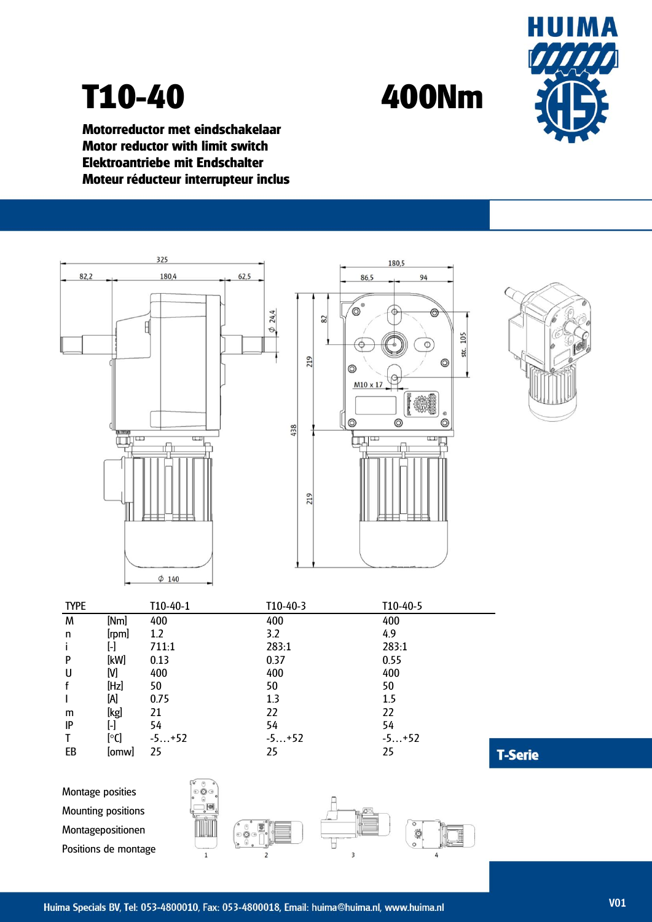

## **T10-40 400Nm**

**Motorreductor met eindschakelaar Motor reductor with limit switch Elektroantriebe mit Endschalter Moteur réducteur interrupteur inclus**